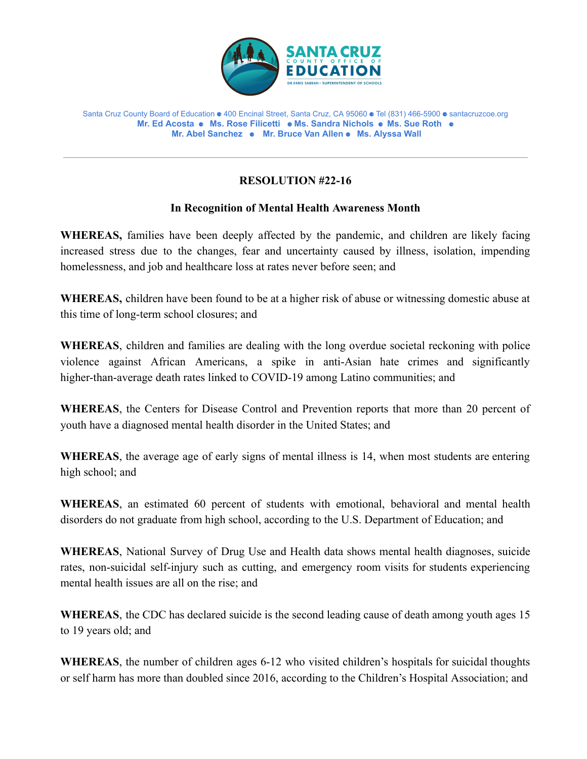

Santa Cruz County Board of Education ⚈ 400 Encinal Street, Santa Cruz, CA 95060 ⚈ Tel (831) 466-5900 ⚈ santacruzcoe.org **Mr. Ed Acosta** ⚈ **Ms. Rose Filicetti** ⚈ **Ms. Sandra Nichols** ⚈ **Ms. Sue Roth** ⚈ **Mr. Abel Sanchez** ⚈ **Mr. Bruce Van Allen** ⚈ **Ms. Alyssa Wall**

## **RESOLUTION #22-16**

## **In Recognition of Mental Health Awareness Month**

**WHEREAS,** families have been deeply affected by the pandemic, and children are likely facing increased stress due to the changes, fear and uncertainty caused by illness, isolation, impending homelessness, and job and healthcare loss at rates never before seen; and

**WHEREAS,** children have been found to be at a higher risk of abuse or witnessing domestic abuse at this time of long-term school closures; and

**WHEREAS**, children and families are dealing with the long overdue societal reckoning with police violence against African Americans, a spike in anti-Asian hate crimes and significantly higher-than-average death rates linked to COVID-19 among Latino communities; and

**WHEREAS**, the Centers for Disease Control and Prevention reports that more than 20 percent of youth have a diagnosed mental health disorder in the United States; and

**WHEREAS**, the average age of early signs of mental illness is 14, when most students are entering high school; and

**WHEREAS**, an estimated 60 percent of students with emotional, behavioral and mental health disorders do not graduate from high school, according to the U.S. Department of Education; and

**WHEREAS**, National Survey of Drug Use and Health data shows mental health diagnoses, suicide rates, non-suicidal self-injury such as cutting, and emergency room visits for students experiencing mental health issues are all on the rise; and

**WHEREAS**, the CDC has declared suicide is the second leading cause of death among youth ages 15 to 19 years old; and

**WHEREAS**, the number of children ages 6-12 who visited children's hospitals for suicidal thoughts or self harm has more than doubled since 2016, according to the Children's Hospital Association; and